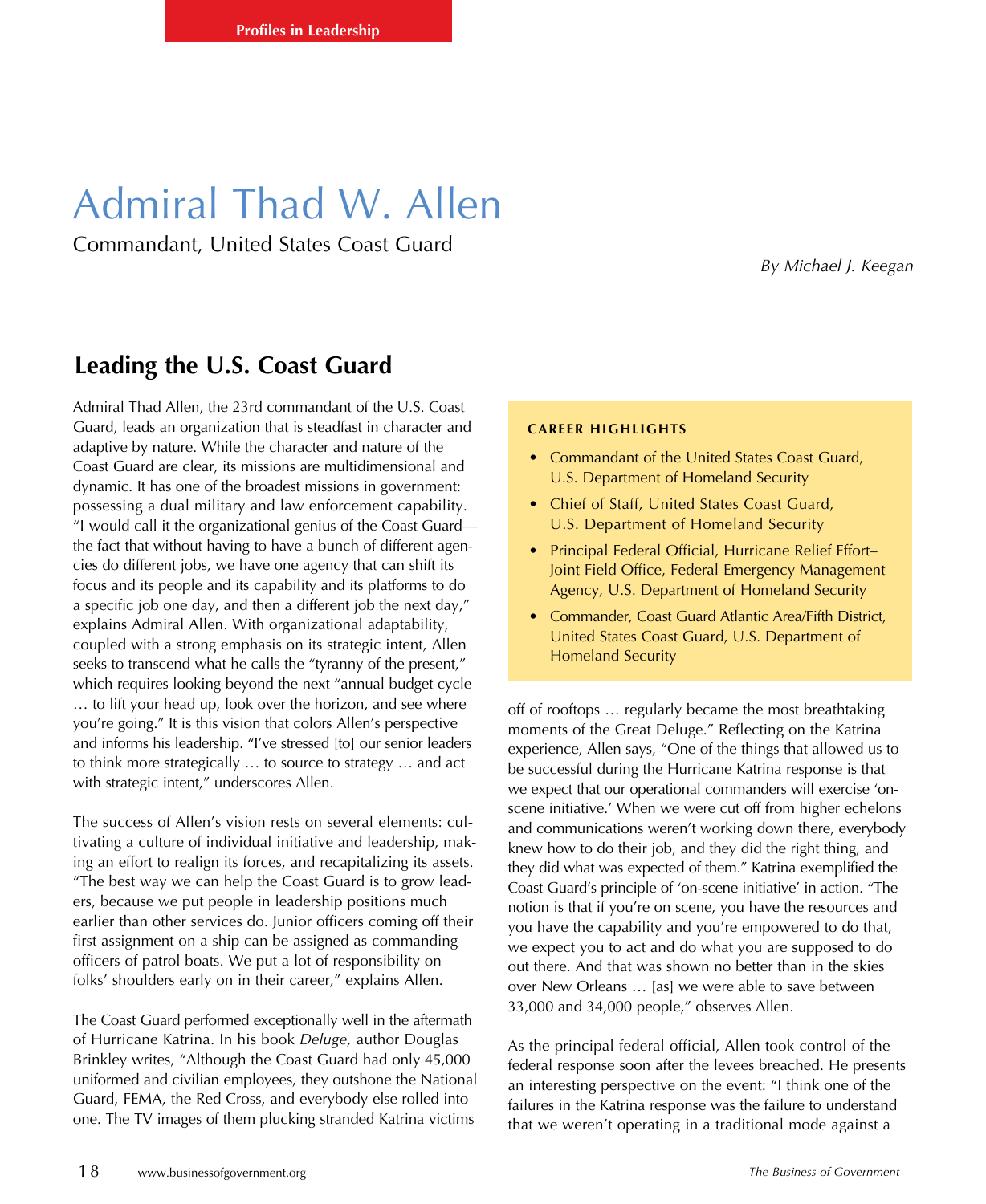## Admiral Thad W. Allen

Commandant, United States Coast Guard

*By Michael J. Keegan*

## **Leading the U.S. Coast Guard**

Admiral Thad Allen, the 23rd commandant of the U.S. Coast Guard, leads an organization that is steadfast in character and adaptive by nature. While the character and nature of the Coast Guard are clear, its missions are multidimensional and dynamic. It has one of the broadest missions in government: possessing a dual military and law enforcement capability. "I would call it the organizational genius of the Coast Guard the fact that without having to have a bunch of different agencies do different jobs, we have one agency that can shift its focus and its people and its capability and its platforms to do a specific job one day, and then a different job the next day," explains Admiral Allen. With organizational adaptability, coupled with a strong emphasis on its strategic intent, Allen seeks to transcend what he calls the "tyranny of the present," which requires looking beyond the next "annual budget cycle … to lift your head up, look over the horizon, and see where you're going." It is this vision that colors Allen's perspective and informs his leadership. "I've stressed [to] our senior leaders to think more strategically … to source to strategy … and act with strategic intent," underscores Allen.

The success of Allen's vision rests on several elements: cultivating a culture of individual initiative and leadership, making an effort to realign its forces, and recapitalizing its assets. "The best way we can help the Coast Guard is to grow leaders, because we put people in leadership positions much earlier than other services do. Junior officers coming off their first assignment on a ship can be assigned as commanding officers of patrol boats. We put a lot of responsibility on folks' shoulders early on in their career," explains Allen.

The Coast Guard performed exceptionally well in the aftermath of Hurricane Katrina. In his book *Deluge,* author Douglas Brinkley writes, "Although the Coast Guard had only 45,000 uniformed and civilian employees, they outshone the National Guard, FEMA, the Red Cross, and everybody else rolled into one. The TV images of them plucking stranded Katrina victims

## **Career Highlights**

- Commandant of the United States Coast Guard, U.S. Department of Homeland Security
- Chief of Staff, United States Coast Guard, U.S. Department of Homeland Security
- Principal Federal Official, Hurricane Relief Effort– Joint Field Office, Federal Emergency Management Agency, U.S. Department of Homeland Security
- Commander, Coast Guard Atlantic Area/Fifth District, United States Coast Guard, U.S. Department of Homeland Security

off of rooftops … regularly became the most breathtaking moments of the Great Deluge." Reflecting on the Katrina experience, Allen says, "One of the things that allowed us to be successful during the Hurricane Katrina response is that we expect that our operational commanders will exercise 'onscene initiative.' When we were cut off from higher echelons and communications weren't working down there, everybody knew how to do their job, and they did the right thing, and they did what was expected of them." Katrina exemplified the Coast Guard's principle of 'on-scene initiative' in action. "The notion is that if you're on scene, you have the resources and you have the capability and you're empowered to do that, we expect you to act and do what you are supposed to do out there. And that was shown no better than in the skies over New Orleans … [as] we were able to save between 33,000 and 34,000 people," observes Allen.

As the principal federal official, Allen took control of the federal response soon after the levees breached. He presents an interesting perspective on the event: "I think one of the failures in the Katrina response was the failure to understand that we weren't operating in a traditional mode against a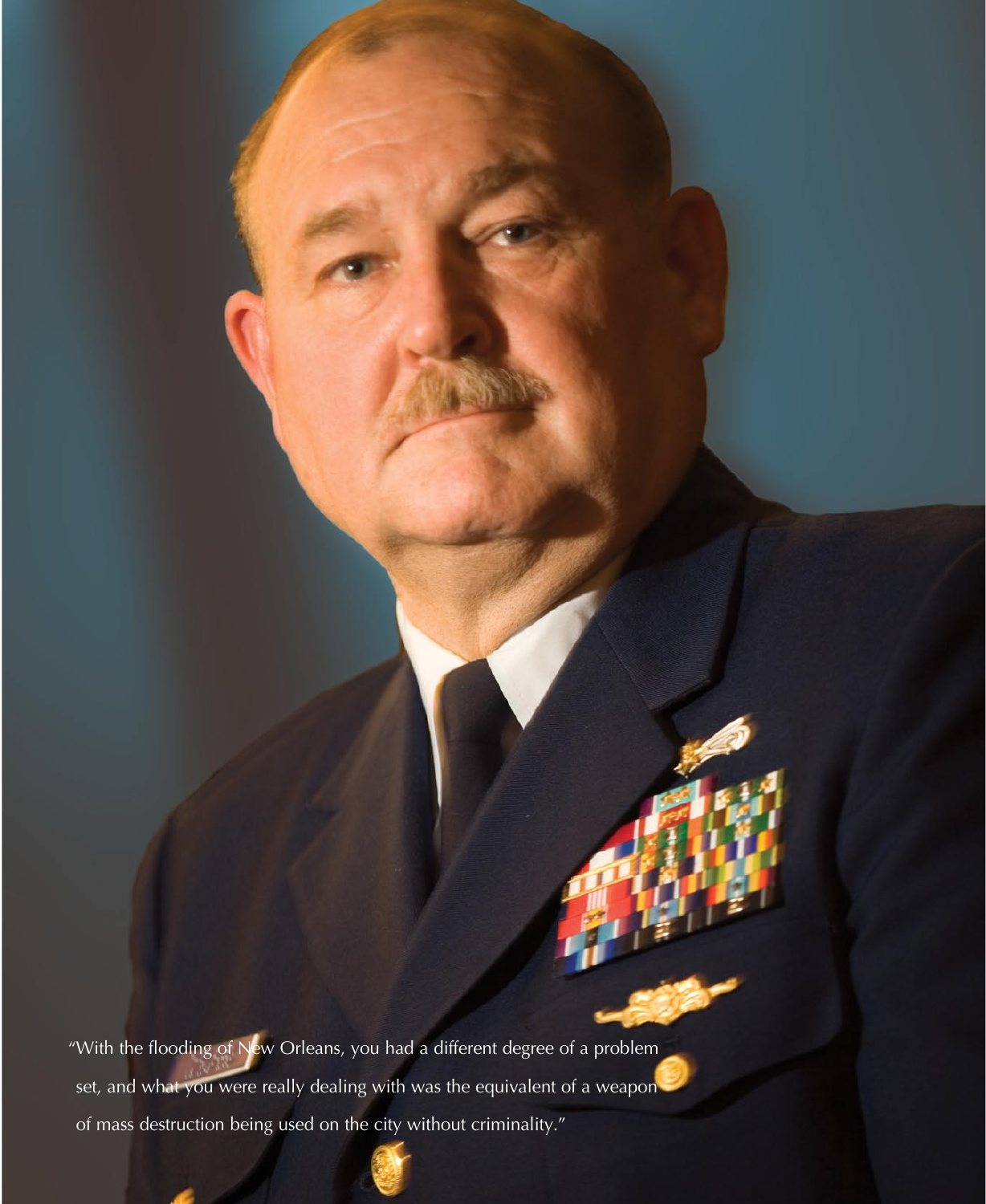"With the flooding of New Orleans, you had a different degree of a problem set, and what you were really dealing with was the equivalent of a weapon of mass destruction being used on the city without criminality."